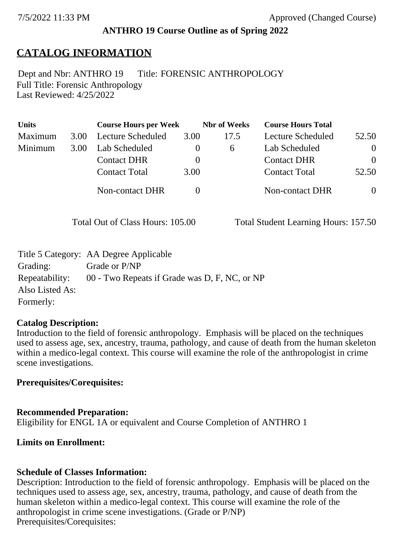### **ANTHRO 19 Course Outline as of Spring 2022**

## **CATALOG INFORMATION**

Full Title: Forensic Anthropology Last Reviewed: 4/25/2022 Dept and Nbr: ANTHRO 19 Title: FORENSIC ANTHROPOLOGY

| <b>Units</b> |      | <b>Course Hours per Week</b> |          | <b>Nbr</b> of Weeks | <b>Course Hours Total</b> |                |
|--------------|------|------------------------------|----------|---------------------|---------------------------|----------------|
| Maximum      | 3.00 | Lecture Scheduled            | 3.00     | 17.5                | Lecture Scheduled         | 52.50          |
| Minimum      | 3.00 | Lab Scheduled                |          | $\sigma$            | Lab Scheduled             | $\overline{0}$ |
|              |      | <b>Contact DHR</b>           | $\theta$ |                     | <b>Contact DHR</b>        | $\Omega$       |
|              |      | <b>Contact Total</b>         | 3.00     |                     | <b>Contact Total</b>      | 52.50          |
|              |      | Non-contact DHR              |          |                     | <b>Non-contact DHR</b>    | $\overline{0}$ |

Total Out of Class Hours: 105.00 Total Student Learning Hours: 157.50

|                 | Title 5 Category: AA Degree Applicable        |
|-----------------|-----------------------------------------------|
| Grading:        | Grade or P/NP                                 |
| Repeatability:  | 00 - Two Repeats if Grade was D, F, NC, or NP |
| Also Listed As: |                                               |
| Formerly:       |                                               |

### **Catalog Description:**

Introduction to the field of forensic anthropology. Emphasis will be placed on the techniques used to assess age, sex, ancestry, trauma, pathology, and cause of death from the human skeleton within a medico-legal context. This course will examine the role of the anthropologist in crime scene investigations.

### **Prerequisites/Corequisites:**

**Recommended Preparation:** Eligibility for ENGL 1A or equivalent and Course Completion of ANTHRO 1

## **Limits on Enrollment:**

### **Schedule of Classes Information:**

Description: Introduction to the field of forensic anthropology. Emphasis will be placed on the techniques used to assess age, sex, ancestry, trauma, pathology, and cause of death from the human skeleton within a medico-legal context. This course will examine the role of the anthropologist in crime scene investigations. (Grade or P/NP) Prerequisites/Corequisites: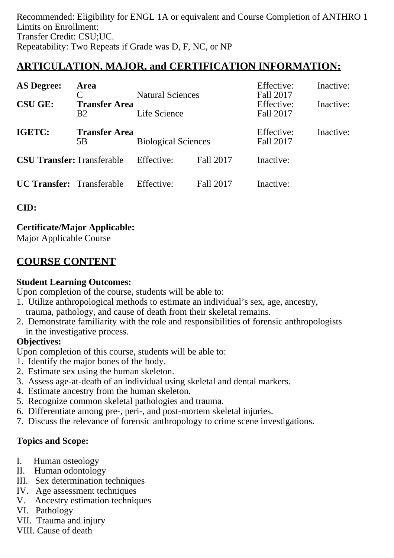Recommended: Eligibility for ENGL 1A or equivalent and Course Completion of ANTHRO 1 Limits on Enrollment: Transfer Credit: CSU;UC. Repeatability: Two Repeats if Grade was D, F, NC, or NP

# **ARTICULATION, MAJOR, and CERTIFICATION INFORMATION:**

| <b>AS Degree:</b>                 | <b>Area</b>                            |                                         |           | Effective:                           | Inactive: |
|-----------------------------------|----------------------------------------|-----------------------------------------|-----------|--------------------------------------|-----------|
| <b>CSU GE:</b>                    | <b>Transfer Area</b><br>B <sub>2</sub> | <b>Natural Sciences</b><br>Life Science |           | Fall 2017<br>Effective:<br>Fall 2017 | Inactive: |
| IGETC:                            | <b>Transfer Area</b><br>5B             | <b>Biological Sciences</b>              |           | Effective:<br>Fall 2017              | Inactive: |
| <b>CSU Transfer: Transferable</b> |                                        | Effective:                              | Fall 2017 | Inactive:                            |           |
| <b>UC Transfer:</b> Transferable  |                                        | Effective:                              | Fall 2017 | Inactive:                            |           |

**CID:**

**Certificate/Major Applicable:**  [Major Applicable Course](SR_ClassCheck.aspx?CourseKey=ANTHRO19)

# **COURSE CONTENT**

### **Student Learning Outcomes:**

Upon completion of the course, students will be able to:

- 1. Utilize anthropological methods to estimate an individual's sex, age, ancestry, trauma, pathology, and cause of death from their skeletal remains.
- 2. Demonstrate familiarity with the role and responsibilities of forensic anthropologists in the investigative process.

### **Objectives:**

Upon completion of this course, students will be able to:

- 1. Identify the major bones of the body.
- 2. Estimate sex using the human skeleton.
- 3. Assess age-at-death of an individual using skeletal and dental markers.
- 4. Estimate ancestry from the human skeleton.
- 5. Recognize common skeletal pathologies and trauma.
- 6. Differentiate among pre-, peri-, and post-mortem skeletal injuries.
- 7. Discuss the relevance of forensic anthropology to crime scene investigations.

## **Topics and Scope:**

- I. Human osteology
- II. Human odontology
- III. Sex determination techniques
- IV. Age assessment techniques
- V. Ancestry estimation techniques
- VI. Pathology
- VII. Trauma and injury
- VIII. Cause of death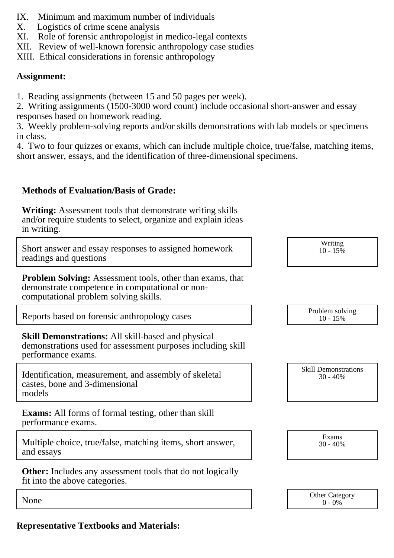- IX. Minimum and maximum number of individuals
- X. Logistics of crime scene analysis
- XI. Role of forensic anthropologist in medico-legal contexts
- XII. Review of well-known forensic anthropology case studies

XIII. Ethical considerations in forensic anthropology

### **Assignment:**

1. Reading assignments (between 15 and 50 pages per week).

2. Writing assignments (1500-3000 word count) include occasional short-answer and essay responses based on homework reading.

3. Weekly problem-solving reports and/or skills demonstrations with lab models or specimens in class.

4. Two to four quizzes or exams, which can include multiple choice, true/false, matching items, short answer, essays, and the identification of three-dimensional specimens.

## **Methods of Evaluation/Basis of Grade:**

**Writing:** Assessment tools that demonstrate writing skills and/or require students to select, organize and explain ideas in writing.

Short answer and essay responses to assigned homework readings and questions

**Problem Solving:** Assessment tools, other than exams, that demonstrate competence in computational or noncomputational problem solving skills.

Reports based on forensic anthropology cases

**Skill Demonstrations:** All skill-based and physical demonstrations used for assessment purposes including skill performance exams.

Identification, measurement, and assembly of skeletal castes, bone and 3-dimensional models

**Exams:** All forms of formal testing, other than skill performance exams.

Multiple choice, true/false, matching items, short answer, and essays

**Other:** Includes any assessment tools that do not logically fit into the above categories.

**Representative Textbooks and Materials:**

| $10 - 15\%$                               |
|-------------------------------------------|
|                                           |
|                                           |
| Problem solving<br>$10 - 15%$             |
|                                           |
|                                           |
| <b>Skill Demonstrations</b><br>$30 - 40%$ |
|                                           |
|                                           |
|                                           |

Writing

Exams 30 - 40%

|      | <b>Other Category</b> |
|------|-----------------------|
| None | 0%<br>$\Omega$ .      |